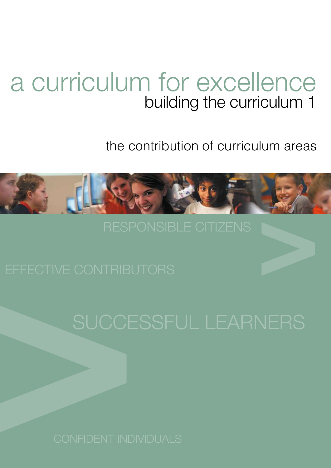# a curriculum for excellence building the curriculum 1

the contribution of curriculum areas

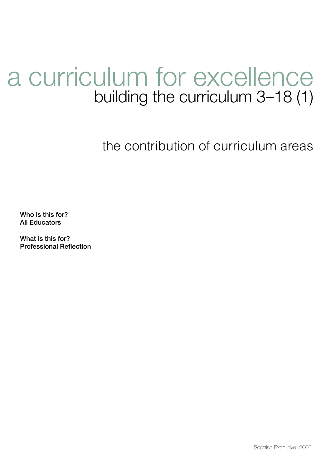# a curriculum for excellence building the curriculum 3–18 (1)

the contribution of curriculum areas

Who is this for? All Educators

What is this for? Professional Reflection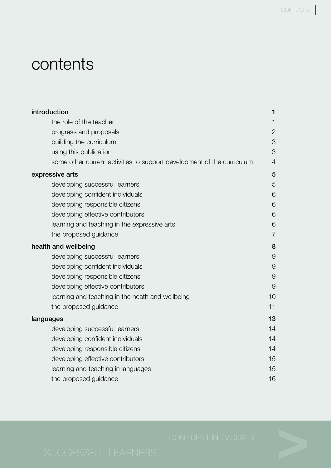# contents

| introduction                                                           | 1              |
|------------------------------------------------------------------------|----------------|
| the role of the teacher                                                | 1              |
| progress and proposals                                                 | $\mathbf{2}$   |
| building the curriculum                                                | 3              |
| using this publication                                                 | 3              |
| some other current activities to support development of the curriculum | 4              |
| expressive arts                                                        | 5              |
| developing successful learners                                         | 5              |
| developing confident individuals                                       | 6              |
| developing responsible citizens                                        | 6              |
| developing effective contributors                                      | 6              |
| learning and teaching in the expressive arts                           | 6              |
| the proposed guidance                                                  | $\overline{7}$ |
| health and wellbeing                                                   | 8              |
| developing successful learners                                         | $\Theta$       |
| developing confident individuals                                       | $\Theta$       |
| developing responsible citizens                                        | $\Theta$       |
| developing effective contributors                                      | 9              |
| learning and teaching in the heath and wellbeing                       | 10             |
| the proposed guidance                                                  | 11             |
| languages                                                              | 13             |
| developing successful learners                                         | 14             |
| developing confident individuals                                       | 14             |
| developing responsible citizens                                        | 14             |
| developing effective contributors                                      | 15             |
| learning and teaching in languages                                     | 15             |
| the proposed guidance                                                  | 16             |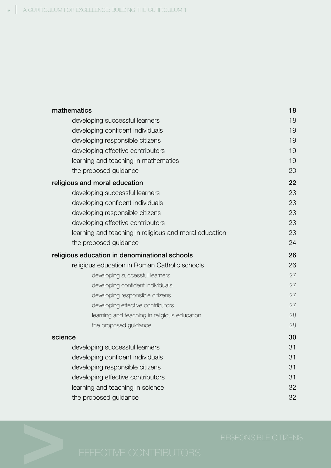| mathematics                                   |                                                        | 18 |
|-----------------------------------------------|--------------------------------------------------------|----|
|                                               | developing successful learners                         | 18 |
|                                               | developing confident individuals                       | 19 |
|                                               | developing responsible citizens                        | 19 |
|                                               | developing effective contributors                      | 19 |
|                                               | learning and teaching in mathematics                   | 19 |
|                                               | the proposed guidance                                  | 20 |
|                                               | religious and moral education                          | 22 |
|                                               | developing successful learners                         | 23 |
|                                               | developing confident individuals                       | 23 |
|                                               | developing responsible citizens                        | 23 |
|                                               | developing effective contributors                      | 23 |
|                                               | learning and teaching in religious and moral education | 23 |
|                                               | the proposed guidance                                  | 24 |
| religious education in denominational schools |                                                        | 26 |
|                                               | religious education in Roman Catholic schools          | 26 |
|                                               | developing successful learners                         | 27 |
|                                               | developing confident individuals                       | 27 |
|                                               | developing responsible citizens                        | 27 |
|                                               | developing effective contributors                      | 27 |
|                                               | learning and teaching in religious education           | 28 |
|                                               | the proposed guidance                                  | 28 |
| science                                       |                                                        | 30 |
|                                               | developing successful learners                         | 31 |
|                                               | developing confident individuals                       | 31 |
|                                               | developing responsible citizens                        | 31 |
|                                               | developing effective contributors                      | 31 |
|                                               | learning and teaching in science                       | 32 |
|                                               | the proposed guidance                                  | 32 |
|                                               |                                                        |    |

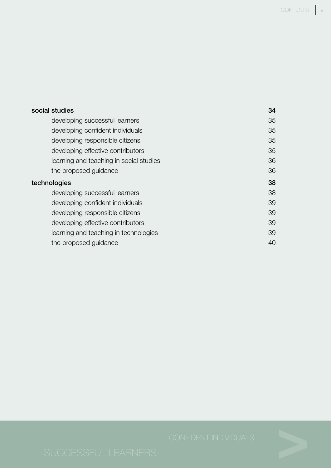|              | social studies                          | 34 |
|--------------|-----------------------------------------|----|
|              | developing successful learners          | 35 |
|              | developing confident individuals        | 35 |
|              | developing responsible citizens         | 35 |
|              | developing effective contributors       | 35 |
|              | learning and teaching in social studies | 36 |
|              | the proposed guidance                   | 36 |
| technologies |                                         | 38 |
|              | developing successful learners          | 38 |
|              | developing confident individuals        | 39 |
|              |                                         |    |
|              | developing responsible citizens         | 39 |
|              | developing effective contributors       | 39 |
|              | learning and teaching in technologies   | 39 |

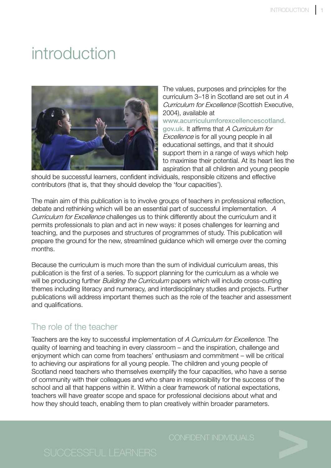# introduction



The values, purposes and principles for the curriculum 3–18 in Scotland are set out in A Curriculum for Excellence (Scottish Executive, 2004), available at

www.acurriculumforexcellencescotland. gov.uk. It affirms that A Curriculum for Excellence is for all young people in all educational settings, and that it should support them in a range of ways which help to maximise their potential. At its heart lies the aspiration that all children and young people

should be successful learners, confident individuals, responsible citizens and effective contributors (that is, that they should develop the 'four capacities').

The main aim of this publication is to involve groups of teachers in professional reflection, debate and rethinking which will be an essential part of successful implementation. A Curriculum for Excellence challenges us to think differently about the curriculum and it permits professionals to plan and act in new ways: it poses challenges for learning and teaching, and the purposes and structures of programmes of study. This publication will prepare the ground for the new, streamlined guidance which will emerge over the coming months.

Because the curriculum is much more than the sum of individual curriculum areas, this publication is the first of a series. To support planning for the curriculum as a whole we will be producing further *Building the Curriculum* papers which will include cross-cutting themes including literacy and numeracy, and interdisciplinary studies and projects. Further publications will address important themes such as the role of the teacher and assessment and qualifications.

# The role of the teacher

Teachers are the key to successful implementation of A Curriculum for Excellence. The quality of learning and teaching in every classroom – and the inspiration, challenge and enjoyment which can come from teachers' enthusiasm and commitment – will be critical to achieving our aspirations for all young people. The children and young people of Scotland need teachers who themselves exemplify the four capacities, who have a sense of community with their colleagues and who share in responsibility for the success of the school and all that happens within it. Within a clear framework of national expectations, teachers will have greater scope and space for professional decisions about what and how they should teach, enabling them to plan creatively within broader parameters.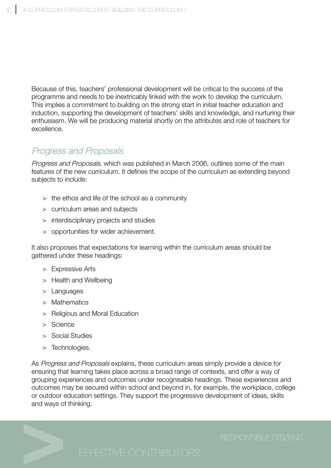Because of this, teachers' professional development will be critical to the success of the programme and needs to be inextricably linked with the work to develop the curriculum. This implies a commitment to building on the strong start in initial teacher education and induction, supporting the development of teachers' skills and knowledge, and nurturing their enthusiasm. We will be producing material shortly on the attributes and role of teachers for excellence.

# Progress and Proposals

Progress and Proposals, which was published in March 2006, outlines some of the main features of the new curriculum. It defines the scope of the curriculum as extending beyond subjects to include:

- > the ethos and life of the school as a community
- > curriculum areas and subjects
- > interdisciplinary projects and studies
- > opportunities for wider achievement.

It also proposes that expectations for learning within the curriculum areas should be gathered under these headings:

- > Expressive Arts
- > Health and Wellbeing
- > Languages
- > Mathematics
- > Religious and Moral Education
- > Science
- > Social Studies
- > Technologies.

As Progress and Proposals explains, these curriculum areas simply provide a device for ensuring that learning takes place across a broad range of contexts, and offer a way of grouping experiences and outcomes under recognisable headings. These experiences and outcomes may be secured within school and beyond in, for example, the workplace, college or outdoor education settings. They support the progressive development of ideas, skills and ways of thinking.

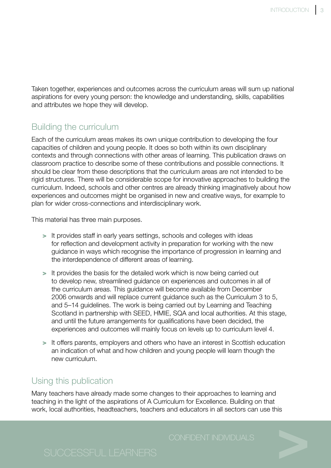Taken together, experiences and outcomes across the curriculum areas will sum up national aspirations for every young person: the knowledge and understanding, skills, capabilities and attributes we hope they will develop.

# Building the curriculum

Each of the curriculum areas makes its own unique contribution to developing the four capacities of children and young people. It does so both within its own disciplinary contexts and through connections with other areas of learning. This publication draws on classroom practice to describe some of these contributions and possible connections. It should be clear from these descriptions that the curriculum areas are not intended to be rigid structures. There will be considerable scope for innovative approaches to building the curriculum. Indeed, schools and other centres are already thinking imaginatively about how experiences and outcomes might be organised in new and creative ways, for example to plan for wider cross-connections and interdisciplinary work.

This material has three main purposes.

- > It provides staff in early years settings, schools and colleges with ideas for reflection and development activity in preparation for working with the new guidance in ways which recognise the importance of progression in learning and the interdependence of different areas of learning.
- > It provides the basis for the detailed work which is now being carried out to develop new, streamlined guidance on experiences and outcomes in all of the curriculum areas. This guidance will become available from December 2006 onwards and will replace current guidance such as the Curriculum 3 to 5, and 5–14 guidelines. The work is being carried out by Learning and Teaching Scotland in partnership with SEED, HMIE, SQA and local authorities. At this stage, and until the future arrangements for qualifications have been decided, the experiences and outcomes will mainly focus on levels up to curriculum level 4.
- > It offers parents, employers and others who have an interest in Scottish education an indication of what and how children and young people will learn though the new curriculum.

# Using this publication

Many teachers have already made some changes to their approaches to learning and teaching in the light of the aspirations of A Curriculum for Excellence. Building on that work, local authorities, headteachers, teachers and educators in all sectors can use this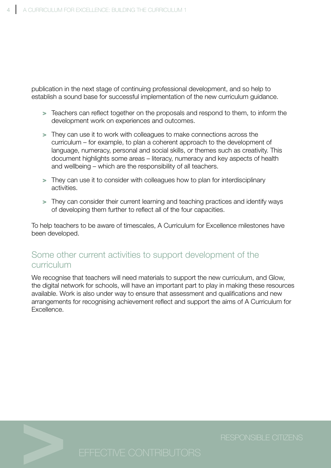publication in the next stage of continuing professional development, and so help to establish a sound base for successful implementation of the new curriculum guidance.

- > Teachers can reflect together on the proposals and respond to them, to inform the development work on experiences and outcomes.
- > They can use it to work with colleagues to make connections across the curriculum – for example, to plan a coherent approach to the development of language, numeracy, personal and social skills, or themes such as creativity. This document highlights some areas – literacy, numeracy and key aspects of health and wellbeing – which are the responsibility of all teachers.
- > They can use it to consider with colleagues how to plan for interdisciplinary activities.
- > They can consider their current learning and teaching practices and identify ways of developing them further to reflect all of the four capacities.

To help teachers to be aware of timescales, A Curriculum for Excellence milestones have been developed.

## Some other current activities to support development of the curriculum

We recognise that teachers will need materials to support the new curriculum, and Glow, the digital network for schools, will have an important part to play in making these resources available. Work is also under way to ensure that assessment and qualifications and new arrangements for recognising achievement reflect and support the aims of A Curriculum for Excellence.

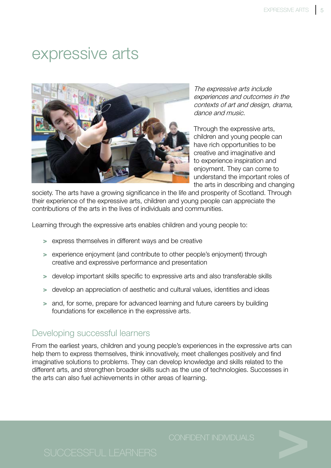# expressive arts



The expressive arts include experiences and outcomes in the contexts of art and design, drama, dance and music.

Through the expressive arts, children and young people can have rich opportunities to be creative and imaginative and to experience inspiration and enjoyment. They can come to understand the important roles of the arts in describing and changing

society. The arts have a growing significance in the life and prosperity of Scotland. Through their experience of the expressive arts, children and young people can appreciate the contributions of the arts in the lives of individuals and communities.

Learning through the expressive arts enables children and young people to:

- > express themselves in different ways and be creative
- > experience enjoyment (and contribute to other people's enjoyment) through creative and expressive performance and presentation
- > develop important skills specific to expressive arts and also transferable skills
- > develop an appreciation of aesthetic and cultural values, identities and ideas
- > and, for some, prepare for advanced learning and future careers by building foundations for excellence in the expressive arts.

### Developing successful learners

From the earliest years, children and young people's experiences in the expressive arts can help them to express themselves, think innovatively, meet challenges positively and find imaginative solutions to problems. They can develop knowledge and skills related to the different arts, and strengthen broader skills such as the use of technologies. Successes in the arts can also fuel achievements in other areas of learning.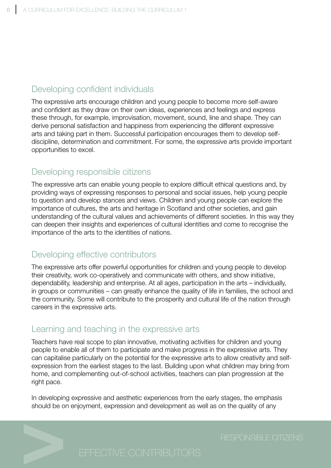# Developing confident individuals

The expressive arts encourage children and young people to become more self-aware and confident as they draw on their own ideas, experiences and feelings and express these through, for example, improvisation, movement, sound, line and shape. They can derive personal satisfaction and happiness from experiencing the different expressive arts and taking part in them. Successful participation encourages them to develop selfdiscipline, determination and commitment. For some, the expressive arts provide important opportunities to excel.

## Developing responsible citizens

The expressive arts can enable young people to explore difficult ethical questions and, by providing ways of expressing responses to personal and social issues, help young people to question and develop stances and views. Children and young people can explore the importance of cultures, the arts and heritage in Scotland and other societies, and gain understanding of the cultural values and achievements of different societies. In this way they can deepen their insights and experiences of cultural identities and come to recognise the importance of the arts to the identities of nations.

# Developing effective contributors

The expressive arts offer powerful opportunities for children and young people to develop their creativity, work co-operatively and communicate with others, and show initiative, dependability, leadership and enterprise. At all ages, participation in the arts – individually, in groups or communities – can greatly enhance the quality of life in families, the school and the community. Some will contribute to the prosperity and cultural life of the nation through careers in the expressive arts.

### Learning and teaching in the expressive arts

Teachers have real scope to plan innovative, motivating activities for children and young people to enable all of them to participate and make progress in the expressive arts. They can capitalise particularly on the potential for the expressive arts to allow creativity and selfexpression from the earliest stages to the last. Building upon what children may bring from home, and complementing out-of-school activities, teachers can plan progression at the right pace.

In developing expressive and aesthetic experiences from the early stages, the emphasis should be on enjoyment, expression and development as well as on the quality of any

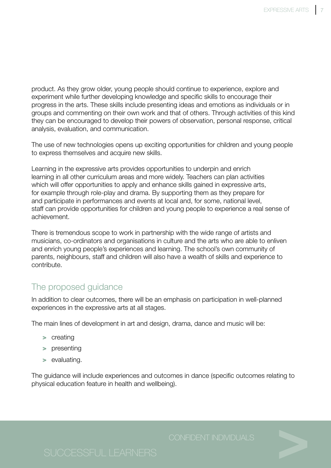product. As they grow older, young people should continue to experience, explore and experiment while further developing knowledge and specific skills to encourage their progress in the arts. These skills include presenting ideas and emotions as individuals or in groups and commenting on their own work and that of others. Through activities of this kind they can be encouraged to develop their powers of observation, personal response, critical analysis, evaluation, and communication.

The use of new technologies opens up exciting opportunities for children and young people to express themselves and acquire new skills.

Learning in the expressive arts provides opportunities to underpin and enrich learning in all other curriculum areas and more widely. Teachers can plan activities which will offer opportunities to apply and enhance skills gained in expressive arts, for example through role-play and drama. By supporting them as they prepare for and participate in performances and events at local and, for some, national level, staff can provide opportunities for children and young people to experience a real sense of achievement.

There is tremendous scope to work in partnership with the wide range of artists and musicians, co-ordinators and organisations in culture and the arts who are able to enliven and enrich young people's experiences and learning. The school's own community of parents, neighbours, staff and children will also have a wealth of skills and experience to contribute.

# The proposed guidance

In addition to clear outcomes, there will be an emphasis on participation in well-planned experiences in the expressive arts at all stages.

The main lines of development in art and design, drama, dance and music will be:

- > creating
- > presenting
- > evaluating.

The guidance will include experiences and outcomes in dance (specific outcomes relating to physical education feature in health and wellbeing).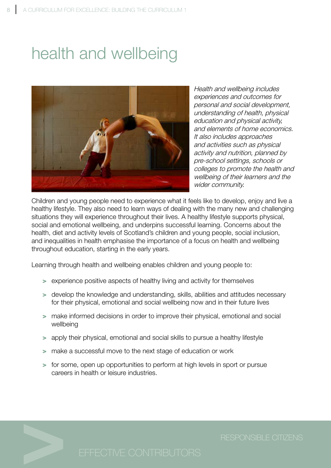# health and wellbeing



Health and wellbeing includes experiences and outcomes for personal and social development, understanding of health, physical education and physical activity, and elements of home economics. It also includes approaches and activities such as physical activity and nutrition, planned by pre-school settings, schools or colleges to promote the health and wellbeing of their learners and the wider community.

Children and young people need to experience what it feels like to develop, enjoy and live a healthy lifestyle. They also need to learn ways of dealing with the many new and challenging situations they will experience throughout their lives. A healthy lifestyle supports physical, social and emotional wellbeing, and underpins successful learning. Concerns about the health, diet and activity levels of Scotland's children and young people, social inclusion, and inequalities in health emphasise the importance of a focus on health and wellbeing throughout education, starting in the early years.

Learning through health and wellbeing enables children and young people to:

- > experience positive aspects of healthy living and activity for themselves
- > develop the knowledge and understanding, skills, abilities and attitudes necessary for their physical, emotional and social wellbeing now and in their future lives
- > make informed decisions in order to improve their physical, emotional and social wellbeing
- > apply their physical, emotional and social skills to pursue a healthy lifestyle
- > make a successful move to the next stage of education or work
- > for some, open up opportunities to perform at high levels in sport or pursue careers in health or leisure industries.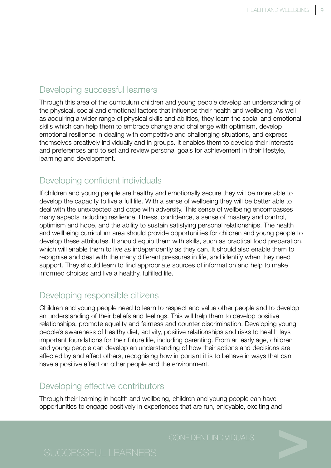# Developing successful learners

Through this area of the curriculum children and young people develop an understanding of the physical, social and emotional factors that influence their health and wellbeing. As well as acquiring a wider range of physical skills and abilities, they learn the social and emotional skills which can help them to embrace change and challenge with optimism, develop emotional resilience in dealing with competitive and challenging situations, and express themselves creatively individually and in groups. It enables them to develop their interests and preferences and to set and review personal goals for achievement in their lifestyle, learning and development.

# Developing confident individuals

If children and young people are healthy and emotionally secure they will be more able to develop the capacity to live a full life. With a sense of wellbeing they will be better able to deal with the unexpected and cope with adversity. This sense of wellbeing encompasses many aspects including resilience, fitness, confidence, a sense of mastery and control, optimism and hope, and the ability to sustain satisfying personal relationships. The health and wellbeing curriculum area should provide opportunities for children and young people to develop these attributes. It should equip them with skills, such as practical food preparation, which will enable them to live as independently as they can. It should also enable them to recognise and deal with the many different pressures in life, and identify when they need support. They should learn to find appropriate sources of information and help to make informed choices and live a healthy, fulfilled life.

## Developing responsible citizens

Children and young people need to learn to respect and value other people and to develop an understanding of their beliefs and feelings. This will help them to develop positive relationships, promote equality and fairness and counter discrimination. Developing young people's awareness of healthy diet, activity, positive relationships and risks to health lays important foundations for their future life, including parenting. From an early age, children and young people can develop an understanding of how their actions and decisions are affected by and affect others, recognising how important it is to behave in ways that can have a positive effect on other people and the environment.

### Developing effective contributors

Through their learning in health and wellbeing, children and young people can have opportunities to engage positively in experiences that are fun, enjoyable, exciting and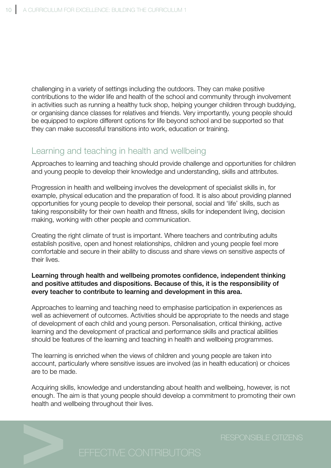challenging in a variety of settings including the outdoors. They can make positive contributions to the wider life and health of the school and community through involvement in activities such as running a healthy tuck shop, helping younger children through buddying, or organising dance classes for relatives and friends. Very importantly, young people should be equipped to explore different options for life beyond school and be supported so that they can make successful transitions into work, education or training.

# Learning and teaching in health and wellbeing

Approaches to learning and teaching should provide challenge and opportunities for children and young people to develop their knowledge and understanding, skills and attributes.

Progression in health and wellbeing involves the development of specialist skills in, for example, physical education and the preparation of food. It is also about providing planned opportunities for young people to develop their personal, social and 'life' skills, such as taking responsibility for their own health and fitness, skills for independent living, decision making, working with other people and communication.

Creating the right climate of trust is important. Where teachers and contributing adults establish positive, open and honest relationships, children and young people feel more comfortable and secure in their ability to discuss and share views on sensitive aspects of their lives.

### Learning through health and wellbeing promotes confidence, independent thinking and positive attitudes and dispositions. Because of this, it is the responsibility of every teacher to contribute to learning and development in this area.

Approaches to learning and teaching need to emphasise participation in experiences as well as achievement of outcomes. Activities should be appropriate to the needs and stage of development of each child and young person. Personalisation, critical thinking, active learning and the development of practical and performance skills and practical abilities should be features of the learning and teaching in health and wellbeing programmes.

The learning is enriched when the views of children and young people are taken into account, particularly where sensitive issues are involved (as in health education) or choices are to be made.

Acquiring skills, knowledge and understanding about health and wellbeing, however, is not enough. The aim is that young people should develop a commitment to promoting their own health and wellbeing throughout their lives.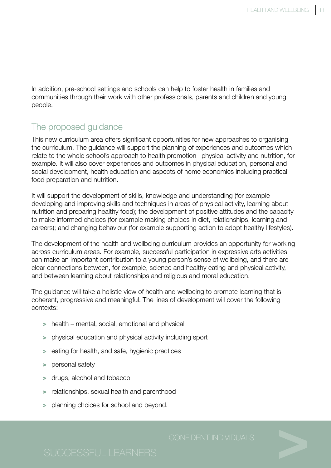In addition, pre-school settings and schools can help to foster health in families and communities through their work with other professionals, parents and children and young people.

# The proposed guidance

This new curriculum area offers significant opportunities for new approaches to organising the curriculum. The guidance will support the planning of experiences and outcomes which relate to the whole school's approach to health promotion –physical activity and nutrition, for example. It will also cover experiences and outcomes in physical education, personal and social development, health education and aspects of home economics including practical food preparation and nutrition.

It will support the development of skills, knowledge and understanding (for example developing and improving skills and techniques in areas of physical activity, learning about nutrition and preparing healthy food); the development of positive attitudes and the capacity to make informed choices (for example making choices in diet, relationships, learning and careers); and changing behaviour (for example supporting action to adopt healthy lifestyles).

The development of the health and wellbeing curriculum provides an opportunity for working across curriculum areas. For example, successful participation in expressive arts activities can make an important contribution to a young person's sense of wellbeing, and there are clear connections between, for example, science and healthy eating and physical activity, and between learning about relationships and religious and moral education.

The guidance will take a holistic view of health and wellbeing to promote learning that is coherent, progressive and meaningful. The lines of development will cover the following contexts:

- > health mental, social, emotional and physical
- > physical education and physical activity including sport
- > eating for health, and safe, hygienic practices
- > personal safety
- > drugs, alcohol and tobacco
- > relationships, sexual health and parenthood
- > planning choices for school and beyond.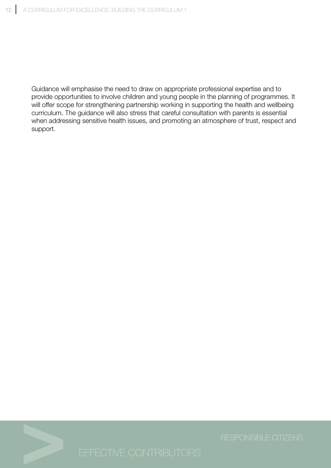Guidance will emphasise the need to draw on appropriate professional expertise and to provide opportunities to involve children and young people in the planning of programmes. It will offer scope for strengthening partnership working in supporting the health and wellbeing curriculum. The guidance will also stress that careful consultation with parents is essential when addressing sensitive health issues, and promoting an atmosphere of trust, respect and support.

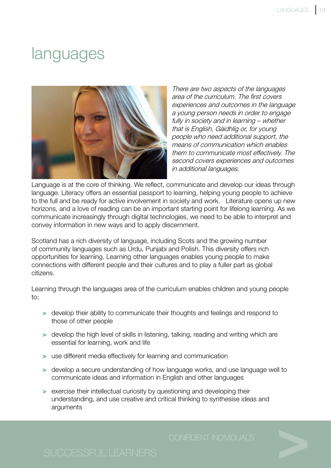# languages



There are two aspects of the languages area of the curriculum. The first covers experiences and outcomes in the language a young person needs in order to engage fully in society and in learning – whether that is English, Gàidhlig or, for young people who need additional support, the means of communication which enables them to communicate most effectively. The second covers experiences and outcomes in additional languages.

Language is at the core of thinking. We reflect, communicate and develop our ideas through language. Literacy offers an essential passport to learning, helping young people to achieve to the full and be ready for active involvement in society and work. Literature opens up new horizons, and a love of reading can be an important starting point for lifelong learning. As we communicate increasingly through digital technologies, we need to be able to interpret and convey information in new ways and to apply discernment.

Scotland has a rich diversity of language, including Scots and the growing number of community languages such as Urdu, Punjabi and Polish. This diversity offers rich opportunities for learning. Learning other languages enables young people to make connections with different people and their cultures and to play a fuller part as global citizens.

Learning through the languages area of the curriculum enables children and young people to:

- > develop their ability to communicate their thoughts and feelings and respond to those of other people
- > develop the high level of skills in listening, talking, reading and writing which are essential for learning, work and life
- > use different media effectively for learning and communication
- > develop a secure understanding of how language works, and use language well to communicate ideas and information in English and other languages
- > exercise their intellectual curiosity by questioning and developing their understanding, and use creative and critical thinking to synthesise ideas and arguments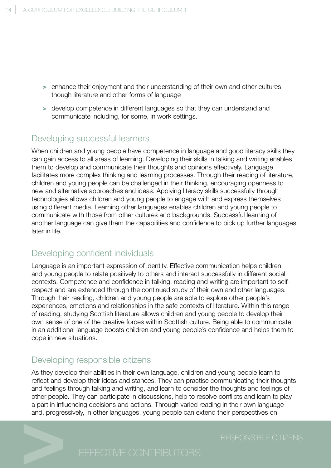- > enhance their enjoyment and their understanding of their own and other cultures though literature and other forms of language
- > develop competence in different languages so that they can understand and communicate including, for some, in work settings.

# Developing successful learners

When children and young people have competence in language and good literacy skills they can gain access to all areas of learning. Developing their skills in talking and writing enables them to develop and communicate their thoughts and opinions effectively. Language facilitates more complex thinking and learning processes. Through their reading of literature, children and young people can be challenged in their thinking, encouraging openness to new and alternative approaches and ideas. Applying literacy skills successfully through technologies allows children and young people to engage with and express themselves using different media. Learning other languages enables children and young people to communicate with those from other cultures and backgrounds. Successful learning of another language can give them the capabilities and confidence to pick up further languages later in life.

# Developing confident individuals

Language is an important expression of identity. Effective communication helps children and young people to relate positively to others and interact successfully in different social contexts. Competence and confidence in talking, reading and writing are important to selfrespect and are extended through the continued study of their own and other languages. Through their reading, children and young people are able to explore other people's experiences, emotions and relationships in the safe contexts of literature. Within this range of reading, studying Scottish literature allows children and young people to develop their own sense of one of the creative forces within Scottish culture. Being able to communicate in an additional language boosts children and young people's confidence and helps them to cope in new situations.

# Developing responsible citizens

As they develop their abilities in their own language, children and young people learn to reflect and develop their ideas and stances. They can practise communicating their thoughts and feelings through talking and writing, and learn to consider the thoughts and feelings of other people. They can participate in discussions, help to resolve conflicts and learn to play a part in influencing decisions and actions. Through varied reading in their own language and, progressively, in other languages, young people can extend their perspectives on

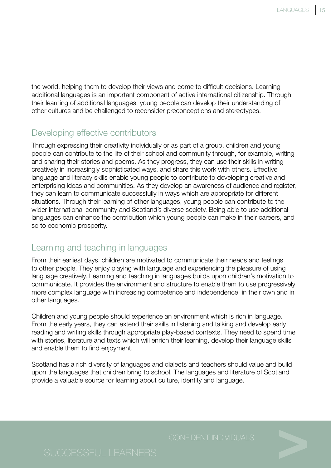the world, helping them to develop their views and come to difficult decisions. Learning additional languages is an important component of active international citizenship. Through their learning of additional languages, young people can develop their understanding of other cultures and be challenged to reconsider preconceptions and stereotypes.

## Developing effective contributors

Through expressing their creativity individually or as part of a group, children and young people can contribute to the life of their school and community through, for example, writing and sharing their stories and poems. As they progress, they can use their skills in writing creatively in increasingly sophisticated ways, and share this work with others. Effective language and literacy skills enable young people to contribute to developing creative and enterprising ideas and communities. As they develop an awareness of audience and register, they can learn to communicate successfully in ways which are appropriate for different situations. Through their learning of other languages, young people can contribute to the wider international community and Scotland's diverse society. Being able to use additional languages can enhance the contribution which young people can make in their careers, and so to economic prosperity.

# Learning and teaching in languages

From their earliest days, children are motivated to communicate their needs and feelings to other people. They enjoy playing with language and experiencing the pleasure of using language creatively. Learning and teaching in languages builds upon children's motivation to communicate. It provides the environment and structure to enable them to use progressively more complex language with increasing competence and independence, in their own and in other languages.

Children and young people should experience an environment which is rich in language. From the early years, they can extend their skills in listening and talking and develop early reading and writing skills through appropriate play-based contexts. They need to spend time with stories, literature and texts which will enrich their learning, develop their language skills and enable them to find enjoyment.

Scotland has a rich diversity of languages and dialects and teachers should value and build upon the languages that children bring to school. The languages and literature of Scotland provide a valuable source for learning about culture, identity and language.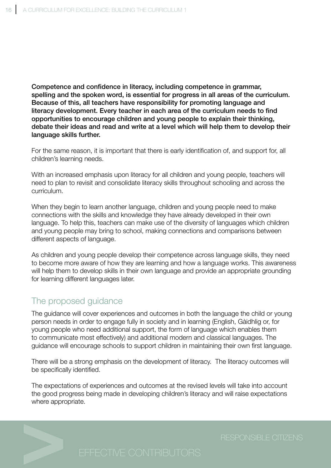Competence and confidence in literacy, including competence in grammar, spelling and the spoken word, is essential for progress in all areas of the curriculum. Because of this, all teachers have responsibility for promoting language and literacy development. Every teacher in each area of the curriculum needs to find opportunities to encourage children and young people to explain their thinking, debate their ideas and read and write at a level which will help them to develop their language skills further.

For the same reason, it is important that there is early identification of, and support for, all children's learning needs.

With an increased emphasis upon literacy for all children and young people, teachers will need to plan to revisit and consolidate literacy skills throughout schooling and across the curriculum.

When they begin to learn another language, children and young people need to make connections with the skills and knowledge they have already developed in their own language. To help this, teachers can make use of the diversity of languages which children and young people may bring to school, making connections and comparisons between different aspects of language.

As children and young people develop their competence across language skills, they need to become more aware of how they are learning and how a language works. This awareness will help them to develop skills in their own language and provide an appropriate grounding for learning different languages later.

# The proposed guidance

The guidance will cover experiences and outcomes in both the language the child or young person needs in order to engage fully in society and in learning (English, Gàidhlig or, for young people who need additional support, the form of language which enables them to communicate most effectively) and additional modern and classical languages. The guidance will encourage schools to support children in maintaining their own first language.

There will be a strong emphasis on the development of literacy. The literacy outcomes will be specifically identified.

The expectations of experiences and outcomes at the revised levels will take into account the good progress being made in developing children's literacy and will raise expectations where appropriate.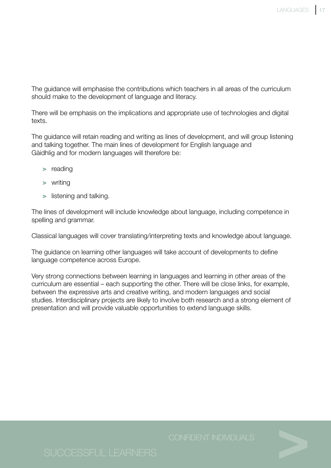The guidance will emphasise the contributions which teachers in all areas of the curriculum should make to the development of language and literacy.

There will be emphasis on the implications and appropriate use of technologies and digital texts.

The guidance will retain reading and writing as lines of development, and will group listening and talking together. The main lines of development for English language and Gàidhlig and for modern languages will therefore be:

- > reading
- > writing
- > listening and talking.

The lines of development will include knowledge about language, including competence in spelling and grammar.

Classical languages will cover translating/interpreting texts and knowledge about language.

The guidance on learning other languages will take account of developments to define language competence across Europe.

Very strong connections between learning in languages and learning in other areas of the curriculum are essential – each supporting the other. There will be close links, for example, between the expressive arts and creative writing, and modern languages and social studies. Interdisciplinary projects are likely to involve both research and a strong element of presentation and will provide valuable opportunities to extend language skills.

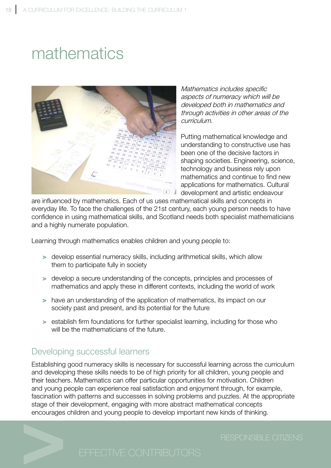# mathematics



Mathematics includes specific aspects of numeracy which will be developed both in mathematics and through activities in other areas of the curriculum.

Putting mathematical knowledge and understanding to constructive use has been one of the decisive factors in shaping societies. Engineering, science, technology and business rely upon mathematics and continue to find new applications for mathematics. Cultural development and artistic endeavour

are influenced by mathematics. Each of us uses mathematical skills and concepts in everyday life. To face the challenges of the 21st century, each young person needs to have confidence in using mathematical skills, and Scotland needs both specialist mathematicians and a highly numerate population.

Learning through mathematics enables children and young people to:

- > develop essential numeracy skills, including arithmetical skills, which allow them to participate fully in society
- > develop a secure understanding of the concepts, principles and processes of mathematics and apply these in different contexts, including the world of work
- > have an understanding of the application of mathematics, its impact on our society past and present, and its potential for the future
- > establish firm foundations for further specialist learning, including for those who will be the mathematicians of the future.

# Developing successful learners

Establishing good numeracy skills is necessary for successful learning across the curriculum and developing these skills needs to be of high priority for all children, young people and their teachers. Mathematics can offer particular opportunities for motivation. Children and young people can experience real satisfaction and enjoyment through, for example, fascination with patterns and successes in solving problems and puzzles. At the appropriate stage of their development, engaging with more abstract mathematical concepts encourages children and young people to develop important new kinds of thinking.

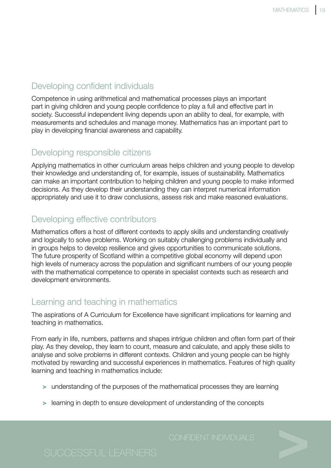# Developing confident individuals

Competence in using arithmetical and mathematical processes plays an important part in giving children and young people confidence to play a full and effective part in society. Successful independent living depends upon an ability to deal, for example, with measurements and schedules and manage money. Mathematics has an important part to play in developing financial awareness and capability.

# Developing responsible citizens

Applying mathematics in other curriculum areas helps children and young people to develop their knowledge and understanding of, for example, issues of sustainability. Mathematics can make an important contribution to helping children and young people to make informed decisions. As they develop their understanding they can interpret numerical information appropriately and use it to draw conclusions, assess risk and make reasoned evaluations.

# Developing effective contributors

Mathematics offers a host of different contexts to apply skills and understanding creatively and logically to solve problems. Working on suitably challenging problems individually and in groups helps to develop resilience and gives opportunities to communicate solutions. The future prosperity of Scotland within a competitive global economy will depend upon high levels of numeracy across the population and significant numbers of our young people with the mathematical competence to operate in specialist contexts such as research and development environments.

# Learning and teaching in mathematics

The aspirations of A Curriculum for Excellence have significant implications for learning and teaching in mathematics.

From early in life, numbers, patterns and shapes intrigue children and often form part of their play. As they develop, they learn to count, measure and calculate, and apply these skills to analyse and solve problems in different contexts. Children and young people can be highly motivated by rewarding and successful experiences in mathematics. Features of high quality learning and teaching in mathematics include:

- > understanding of the purposes of the mathematical processes they are learning
- > learning in depth to ensure development of understanding of the concepts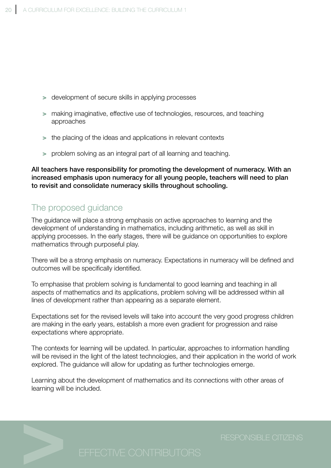- > development of secure skills in applying processes
- > making imaginative, effective use of technologies, resources, and teaching approaches
- > the placing of the ideas and applications in relevant contexts
- > problem solving as an integral part of all learning and teaching.

All teachers have responsibility for promoting the development of numeracy. With an increased emphasis upon numeracy for all young people, teachers will need to plan to revisit and consolidate numeracy skills throughout schooling.

# The proposed guidance

The guidance will place a strong emphasis on active approaches to learning and the development of understanding in mathematics, including arithmetic, as well as skill in applying processes. In the early stages, there will be guidance on opportunities to explore mathematics through purposeful play.

There will be a strong emphasis on numeracy. Expectations in numeracy will be defined and outcomes will be specifically identified.

To emphasise that problem solving is fundamental to good learning and teaching in all aspects of mathematics and its applications, problem solving will be addressed within all lines of development rather than appearing as a separate element.

Expectations set for the revised levels will take into account the very good progress children are making in the early years, establish a more even gradient for progression and raise expectations where appropriate.

The contexts for learning will be updated. In particular, approaches to information handling will be revised in the light of the latest technologies, and their application in the world of work explored. The guidance will allow for updating as further technologies emerge.

Learning about the development of mathematics and its connections with other areas of learning will be included.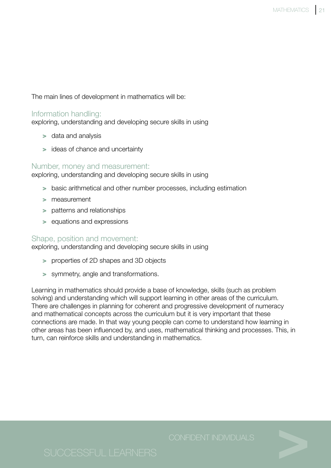The main lines of development in mathematics will be:

### Information handling:

exploring, understanding and developing secure skills in using

- > data and analysis
- > ideas of chance and uncertainty

### Number, money and measurement:

exploring, understanding and developing secure skills in using

- > basic arithmetical and other number processes, including estimation
- > measurement
- > patterns and relationships
- > equations and expressions

### Shape, position and movement:

exploring, understanding and developing secure skills in using

- > properties of 2D shapes and 3D objects
- > symmetry, angle and transformations.

Learning in mathematics should provide a base of knowledge, skills (such as problem solving) and understanding which will support learning in other areas of the curriculum. There are challenges in planning for coherent and progressive development of numeracy and mathematical concepts across the curriculum but it is very important that these connections are made. In that way young people can come to understand how learning in other areas has been influenced by, and uses, mathematical thinking and processes. This, in turn, can reinforce skills and understanding in mathematics.

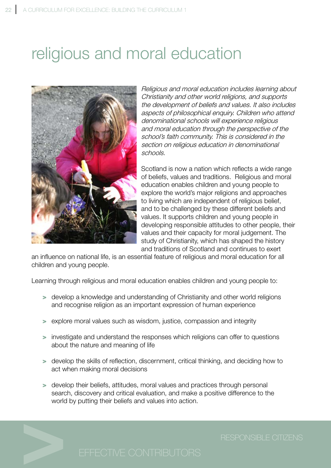# religious and moral education



Religious and moral education includes learning about Christianity and other world religions, and supports the development of beliefs and values. It also includes aspects of philosophical enquiry. Children who attend denominational schools will experience religious and moral education through the perspective of the school's faith community. This is considered in the section on religious education in denominational schools.

Scotland is now a nation which reflects a wide range of beliefs, values and traditions. Religious and moral education enables children and young people to explore the world's major religions and approaches to living which are independent of religious belief, and to be challenged by these different beliefs and values. It supports children and young people in developing responsible attitudes to other people, their values and their capacity for moral judgement. The study of Christianity, which has shaped the history and traditions of Scotland and continues to exert

an influence on national life, is an essential feature of religious and moral education for all children and young people.

Learning through religious and moral education enables children and young people to:

- > develop a knowledge and understanding of Christianity and other world religions and recognise religion as an important expression of human experience
- > explore moral values such as wisdom, justice, compassion and integrity
- > investigate and understand the responses which religions can offer to questions about the nature and meaning of life
- > develop the skills of reflection, discernment, critical thinking, and deciding how to act when making moral decisions
- > develop their beliefs, attitudes, moral values and practices through personal search, discovery and critical evaluation, and make a positive difference to the world by putting their beliefs and values into action.

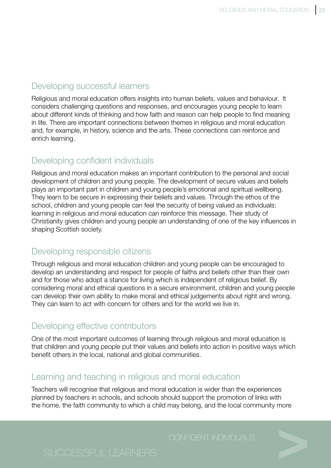## Developing successful learners

Religious and moral education offers insights into human beliefs, values and behaviour. It considers challenging questions and responses, and encourages young people to learn about different kinds of thinking and how faith and reason can help people to find meaning in life. There are important connections between themes in religious and moral education and, for example, in history, science and the arts. These connections can reinforce and enrich learning.

# Developing confident individuals

Religious and moral education makes an important contribution to the personal and social development of children and young people. The development of secure values and beliefs plays an important part in children and young people's emotional and spiritual wellbeing. They learn to be secure in expressing their beliefs and values. Through the ethos of the school, children and young people can feel the security of being valued as individuals: learning in religious and moral education can reinforce this message. Their study of Christianity gives children and young people an understanding of one of the key influences in shaping Scottish society.

## Developing responsible citizens

Through religious and moral education children and young people can be encouraged to develop an understanding and respect for people of faiths and beliefs other than their own and for those who adopt a stance for living which is independent of religious belief. By considering moral and ethical questions in a secure environment, children and young people can develop their own ability to make moral and ethical judgements about right and wrong. They can learn to act with concern for others and for the world we live in.

## Developing effective contributors

One of the most important outcomes of learning through religious and moral education is that children and young people put their values and beliefs into action in positive ways which benefit others in the local, national and global communities.

### Learning and teaching in religious and moral education

Teachers will recognise that religious and moral education is wider than the experiences planned by teachers in schools, and schools should support the promotion of links with the home, the faith community to which a child may belong, and the local community more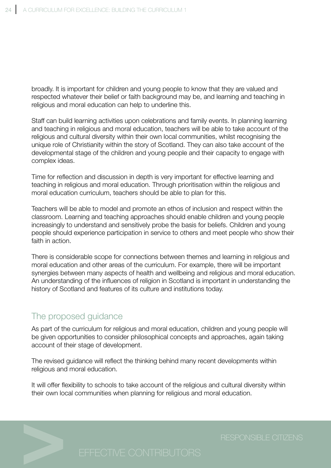broadly. It is important for children and young people to know that they are valued and respected whatever their belief or faith background may be, and learning and teaching in religious and moral education can help to underline this.

Staff can build learning activities upon celebrations and family events. In planning learning and teaching in religious and moral education, teachers will be able to take account of the religious and cultural diversity within their own local communities, whilst recognising the unique role of Christianity within the story of Scotland. They can also take account of the developmental stage of the children and young people and their capacity to engage with complex ideas.

Time for reflection and discussion in depth is very important for effective learning and teaching in religious and moral education. Through prioritisation within the religious and moral education curriculum, teachers should be able to plan for this.

Teachers will be able to model and promote an ethos of inclusion and respect within the classroom. Learning and teaching approaches should enable children and young people increasingly to understand and sensitively probe the basis for beliefs. Children and young people should experience participation in service to others and meet people who show their faith in action.

There is considerable scope for connections between themes and learning in religious and moral education and other areas of the curriculum. For example, there will be important synergies between many aspects of health and wellbeing and religious and moral education. An understanding of the influences of religion in Scotland is important in understanding the history of Scotland and features of its culture and institutions today.

# The proposed guidance

As part of the curriculum for religious and moral education, children and young people will be given opportunities to consider philosophical concepts and approaches, again taking account of their stage of development.

The revised guidance will reflect the thinking behind many recent developments within religious and moral education.

It will offer flexibility to schools to take account of the religious and cultural diversity within their own local communities when planning for religious and moral education.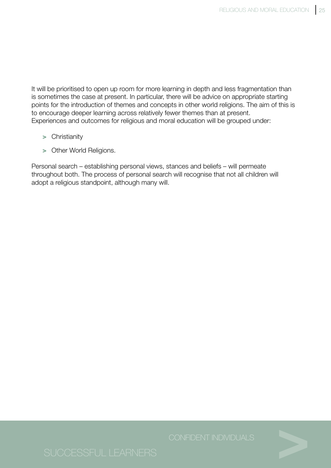It will be prioritised to open up room for more learning in depth and less fragmentation than is sometimes the case at present. In particular, there will be advice on appropriate starting points for the introduction of themes and concepts in other world religions. The aim of this is to encourage deeper learning across relatively fewer themes than at present. Experiences and outcomes for religious and moral education will be grouped under:

- > Christianity
- > Other World Religions.

Personal search – establishing personal views, stances and beliefs – will permeate throughout both. The process of personal search will recognise that not all children will adopt a religious standpoint, although many will.

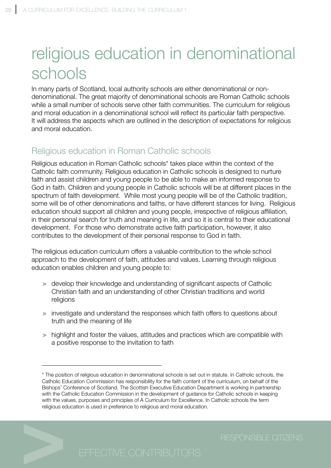# religious education in denominational schools

In many parts of Scotland, local authority schools are either denominational or nondenominational. The great majority of denominational schools are Roman Catholic schools while a small number of schools serve other faith communities. The curriculum for religious and moral education in a denominational school will reflect its particular faith perspective. It will address the aspects which are outlined in the description of expectations for religious and moral education.

# Religious education in Roman Catholic schools

Religious education in Roman Catholic schools\* takes place within the context of the Catholic faith community. Religious education in Catholic schools is designed to nurture faith and assist children and young people to be able to make an informed response to God in faith. Children and young people in Catholic schools will be at different places in the spectrum of faith development. While most young people will be of the Catholic tradition, some will be of other denominations and faiths, or have different stances for living. Religious education should support all children and young people, irrespective of religious affiliation, in their personal search for truth and meaning in life, and so it is central to their educational development. For those who demonstrate active faith participation, however, it also contributes to the development of their personal response to God in faith.

The religious education curriculum offers a valuable contribution to the whole school approach to the development of faith, attitudes and values. Learning through religious education enables children and young people to:

- > develop their knowledge and understanding of significant aspects of Catholic Christian faith and an understanding of other Christian traditions and world religions
- > investigate and understand the responses which faith offers to questions about truth and the meaning of life
- > highlight and foster the values, attitudes and practices which are compatible with a positive response to the invitation to faith

<sup>\*</sup> The position of religious education in denominational schools is set out in statute. In Catholic schools, the Catholic Education Commission has responsibility for the faith content of the curriculum, on behalf of the Bishops' Conference of Scotland. The Scottish Executive Education Department is working in partnership with the Catholic Education Commission in the development of guidance for Catholic schools in keeping with the values, purposes and principles of A Curriculum for Excellence. In Catholic schools the term religious education is used in preference to religious and moral education.

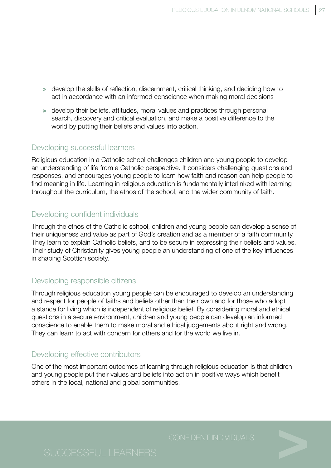- > develop the skills of reflection, discernment, critical thinking, and deciding how to act in accordance with an informed conscience when making moral decisions
- > develop their beliefs, attitudes, moral values and practices through personal search, discovery and critical evaluation, and make a positive difference to the world by putting their beliefs and values into action.

### Developing successful learners

Religious education in a Catholic school challenges children and young people to develop an understanding of life from a Catholic perspective. It considers challenging questions and responses, and encourages young people to learn how faith and reason can help people to find meaning in life. Learning in religious education is fundamentally interlinked with learning throughout the curriculum, the ethos of the school, and the wider community of faith.

### Developing confident individuals

Through the ethos of the Catholic school, children and young people can develop a sense of their uniqueness and value as part of God's creation and as a member of a faith community. They learn to explain Catholic beliefs, and to be secure in expressing their beliefs and values. Their study of Christianity gives young people an understanding of one of the key influences in shaping Scottish society.

### Developing responsible citizens

Through religious education young people can be encouraged to develop an understanding and respect for people of faiths and beliefs other than their own and for those who adopt a stance for living which is independent of religious belief. By considering moral and ethical questions in a secure environment, children and young people can develop an informed conscience to enable them to make moral and ethical judgements about right and wrong. They can learn to act with concern for others and for the world we live in.

### Developing effective contributors

One of the most important outcomes of learning through religious education is that children and young people put their values and beliefs into action in positive ways which benefit others in the local, national and global communities.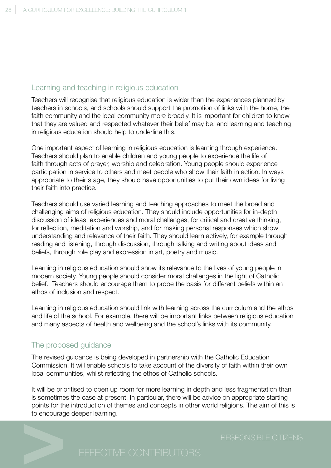### Learning and teaching in religious education

Teachers will recognise that religious education is wider than the experiences planned by teachers in schools, and schools should support the promotion of links with the home, the faith community and the local community more broadly. It is important for children to know that they are valued and respected whatever their belief may be, and learning and teaching in religious education should help to underline this.

One important aspect of learning in religious education is learning through experience. Teachers should plan to enable children and young people to experience the life of faith through acts of prayer, worship and celebration. Young people should experience participation in service to others and meet people who show their faith in action. In ways appropriate to their stage, they should have opportunities to put their own ideas for living their faith into practice.

Teachers should use varied learning and teaching approaches to meet the broad and challenging aims of religious education. They should include opportunities for in-depth discussion of ideas, experiences and moral challenges, for critical and creative thinking, for reflection, meditation and worship, and for making personal responses which show understanding and relevance of their faith. They should learn actively, for example through reading and listening, through discussion, through talking and writing about ideas and beliefs, through role play and expression in art, poetry and music.

Learning in religious education should show its relevance to the lives of young people in modern society. Young people should consider moral challenges in the light of Catholic belief. Teachers should encourage them to probe the basis for different beliefs within an ethos of inclusion and respect.

Learning in religious education should link with learning across the curriculum and the ethos and life of the school. For example, there will be important links between religious education and many aspects of health and wellbeing and the school's links with its community.

### The proposed guidance

The revised guidance is being developed in partnership with the Catholic Education Commission. It will enable schools to take account of the diversity of faith within their own local communities, whilst reflecting the ethos of Catholic schools.

It will be prioritised to open up room for more learning in depth and less fragmentation than is sometimes the case at present. In particular, there will be advice on appropriate starting points for the introduction of themes and concepts in other world religions. The aim of this is to encourage deeper learning.

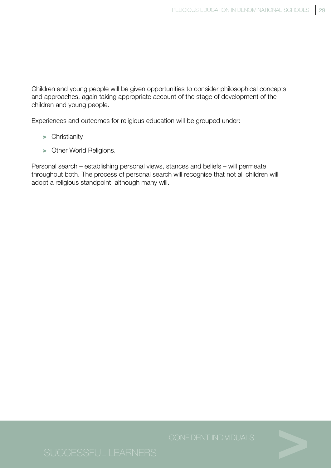Children and young people will be given opportunities to consider philosophical concepts and approaches, again taking appropriate account of the stage of development of the children and young people.

Experiences and outcomes for religious education will be grouped under:

- > Christianity
- > Other World Religions.

Personal search – establishing personal views, stances and beliefs – will permeate throughout both. The process of personal search will recognise that not all children will adopt a religious standpoint, although many will.

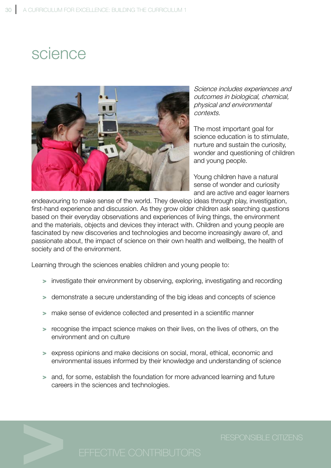# science



Science includes experiences and outcomes in biological, chemical, physical and environmental contexts.

The most important goal for science education is to stimulate, nurture and sustain the curiosity, wonder and questioning of children and young people.

Young children have a natural sense of wonder and curiosity and are active and eager learners

endeavouring to make sense of the world. They develop ideas through play, investigation, first-hand experience and discussion. As they grow older children ask searching questions based on their everyday observations and experiences of living things, the environment and the materials, objects and devices they interact with. Children and young people are fascinated by new discoveries and technologies and become increasingly aware of, and passionate about, the impact of science on their own health and wellbeing, the health of society and of the environment.

Learning through the sciences enables children and young people to:

- > investigate their environment by observing, exploring, investigating and recording
- > demonstrate a secure understanding of the big ideas and concepts of science
- > make sense of evidence collected and presented in a scientific manner
- > recognise the impact science makes on their lives, on the lives of others, on the environment and on culture
- > express opinions and make decisions on social, moral, ethical, economic and environmental issues informed by their knowledge and understanding of science
- > and, for some, establish the foundation for more advanced learning and future careers in the sciences and technologies.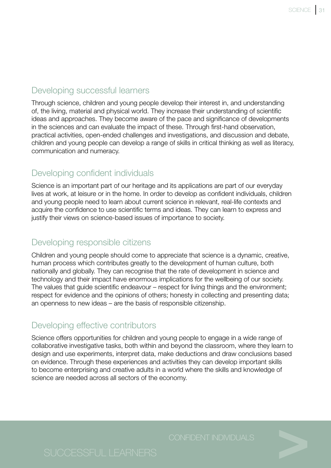### Developing successful learners

Through science, children and young people develop their interest in, and understanding of, the living, material and physical world. They increase their understanding of scientific ideas and approaches. They become aware of the pace and significance of developments in the sciences and can evaluate the impact of these. Through first-hand observation, practical activities, open-ended challenges and investigations, and discussion and debate, children and young people can develop a range of skills in critical thinking as well as literacy, communication and numeracy.

### Developing confident individuals

Science is an important part of our heritage and its applications are part of our everyday lives at work, at leisure or in the home. In order to develop as confident individuals, children and young people need to learn about current science in relevant, real-life contexts and acquire the confidence to use scientific terms and ideas. They can learn to express and justify their views on science-based issues of importance to society.

## Developing responsible citizens

Children and young people should come to appreciate that science is a dynamic, creative, human process which contributes greatly to the development of human culture, both nationally and globally. They can recognise that the rate of development in science and technology and their impact have enormous implications for the wellbeing of our society. The values that guide scientific endeavour – respect for living things and the environment; respect for evidence and the opinions of others; honesty in collecting and presenting data; an openness to new ideas – are the basis of responsible citizenship.

## Developing effective contributors

Science offers opportunities for children and young people to engage in a wide range of collaborative investigative tasks, both within and beyond the classroom, where they learn to design and use experiments, interpret data, make deductions and draw conclusions based on evidence. Through these experiences and activities they can develop important skills to become enterprising and creative adults in a world where the skills and knowledge of science are needed across all sectors of the economy.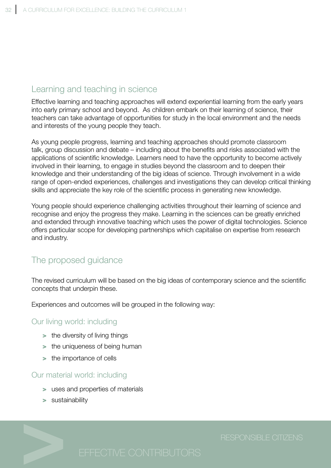## Learning and teaching in science

Effective learning and teaching approaches will extend experiential learning from the early years into early primary school and beyond. As children embark on their learning of science, their teachers can take advantage of opportunities for study in the local environment and the needs and interests of the young people they teach.

As young people progress, learning and teaching approaches should promote classroom talk, group discussion and debate – including about the benefits and risks associated with the applications of scientific knowledge. Learners need to have the opportunity to become actively involved in their learning, to engage in studies beyond the classroom and to deepen their knowledge and their understanding of the big ideas of science. Through involvement in a wide range of open-ended experiences, challenges and investigations they can develop critical thinking skills and appreciate the key role of the scientific process in generating new knowledge.

Young people should experience challenging activities throughout their learning of science and recognise and enjoy the progress they make. Learning in the sciences can be greatly enriched and extended through innovative teaching which uses the power of digital technologies. Science offers particular scope for developing partnerships which capitalise on expertise from research and industry.

# The proposed guidance

The revised curriculum will be based on the big ideas of contemporary science and the scientific concepts that underpin these.

Experiences and outcomes will be grouped in the following way:

### Our living world: including

- > the diversity of living things
- > the uniqueness of being human
- > the importance of cells

### Our material world: including

- > uses and properties of materials
- > sustainability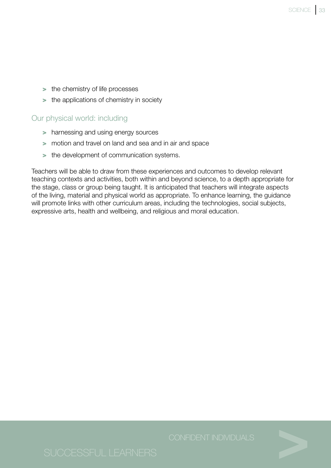- > the chemistry of life processes
- > the applications of chemistry in society

### Our physical world: including

- > harnessing and using energy sources
- > motion and travel on land and sea and in air and space
- > the development of communication systems.

Teachers will be able to draw from these experiences and outcomes to develop relevant teaching contexts and activities, both within and beyond science, to a depth appropriate for the stage, class or group being taught. It is anticipated that teachers will integrate aspects of the living, material and physical world as appropriate. To enhance learning, the guidance will promote links with other curriculum areas, including the technologies, social subjects, expressive arts, health and wellbeing, and religious and moral education.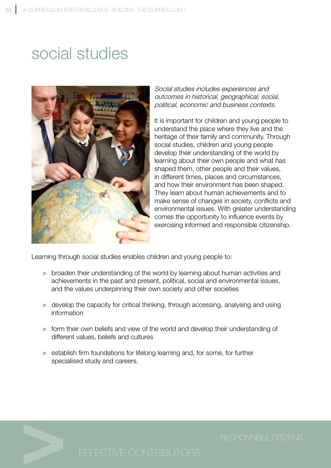# social studies



Social studies includes experiences and outcomes in historical, geographical, social, political, economic and business contexts.

It is important for children and young people to understand the place where they live and the heritage of their family and community. Through social studies, children and young people develop their understanding of the world by learning about their own people and what has shaped them, other people and their values, in different times, places and circumstances, and how their environment has been shaped. They learn about human achievements and to make sense of changes in society, conflicts and environmental issues. With greater understanding comes the opportunity to influence events by exercising informed and responsible citizenship.

Learning through social studies enables children and young people to:

- > broaden their understanding of the world by learning about human activities and achievements in the past and present, political, social and environmental issues, and the values underpinning their own society and other societies
- > develop the capacity for critical thinking, through accessing, analysing and using information
- > form their own beliefs and view of the world and develop their understanding of different values, beliefs and cultures
- > establish firm foundations for lifelong learning and, for some, for further specialised study and careers.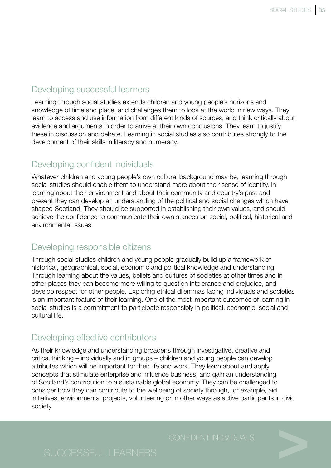## Developing successful learners

Learning through social studies extends children and young people's horizons and knowledge of time and place, and challenges them to look at the world in new ways. They learn to access and use information from different kinds of sources, and think critically about evidence and arguments in order to arrive at their own conclusions. They learn to justify these in discussion and debate. Learning in social studies also contributes strongly to the development of their skills in literacy and numeracy.

### Developing confident individuals

Whatever children and young people's own cultural background may be, learning through social studies should enable them to understand more about their sense of identity. In learning about their environment and about their community and country's past and present they can develop an understanding of the political and social changes which have shaped Scotland. They should be supported in establishing their own values, and should achieve the confidence to communicate their own stances on social, political, historical and environmental issues.

### Developing responsible citizens

Through social studies children and young people gradually build up a framework of historical, geographical, social, economic and political knowledge and understanding. Through learning about the values, beliefs and cultures of societies at other times and in other places they can become more willing to question intolerance and prejudice, and develop respect for other people. Exploring ethical dilemmas facing individuals and societies is an important feature of their learning. One of the most important outcomes of learning in social studies is a commitment to participate responsibly in political, economic, social and cultural life.

## Developing effective contributors

As their knowledge and understanding broadens through investigative, creative and critical thinking – individually and in groups – children and young people can develop attributes which will be important for their life and work. They learn about and apply concepts that stimulate enterprise and influence business, and gain an understanding of Scotland's contribution to a sustainable global economy. They can be challenged to consider how they can contribute to the wellbeing of society through, for example, aid initiatives, environmental projects, volunteering or in other ways as active participants in civic society.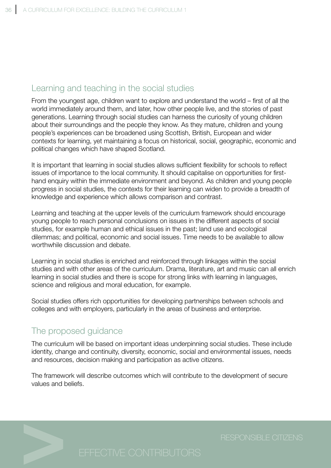# Learning and teaching in the social studies

From the youngest age, children want to explore and understand the world – first of all the world immediately around them, and later, how other people live, and the stories of past generations. Learning through social studies can harness the curiosity of young children about their surroundings and the people they know. As they mature, children and young people's experiences can be broadened using Scottish, British, European and wider contexts for learning, yet maintaining a focus on historical, social, geographic, economic and political changes which have shaped Scotland.

It is important that learning in social studies allows sufficient flexibility for schools to reflect issues of importance to the local community. It should capitalise on opportunities for firsthand enquiry within the immediate environment and beyond. As children and young people progress in social studies, the contexts for their learning can widen to provide a breadth of knowledge and experience which allows comparison and contrast.

Learning and teaching at the upper levels of the curriculum framework should encourage young people to reach personal conclusions on issues in the different aspects of social studies, for example human and ethical issues in the past; land use and ecological dilemmas; and political, economic and social issues. Time needs to be available to allow worthwhile discussion and debate.

Learning in social studies is enriched and reinforced through linkages within the social studies and with other areas of the curriculum. Drama, literature, art and music can all enrich learning in social studies and there is scope for strong links with learning in languages, science and religious and moral education, for example.

Social studies offers rich opportunities for developing partnerships between schools and colleges and with employers, particularly in the areas of business and enterprise.

# The proposed guidance

The curriculum will be based on important ideas underpinning social studies. These include identity, change and continuity, diversity, economic, social and environmental issues, needs and resources, decision making and participation as active citizens.

The framework will describe outcomes which will contribute to the development of secure values and beliefs.

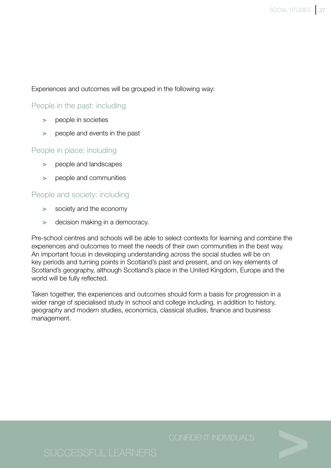Experiences and outcomes will be grouped in the following way:

### People in the past: including

- > people in societies
- people and events in the past

### People in place: including

- > people and landscapes
- > people and communities

### People and society: including

- > society and the economy
- > decision making in a democracy.

Pre-school centres and schools will be able to select contexts for learning and combine the experiences and outcomes to meet the needs of their own communities in the best way. An important focus in developing understanding across the social studies will be on key periods and turning points in Scotland's past and present, and on key elements of Scotland's geography, although Scotland's place in the United Kingdom, Europe and the world will be fully reflected.

Taken together, the experiences and outcomes should form a basis for progression in a wider range of specialised study in school and college including, in addition to history, geography and modern studies, economics, classical studies, finance and business management.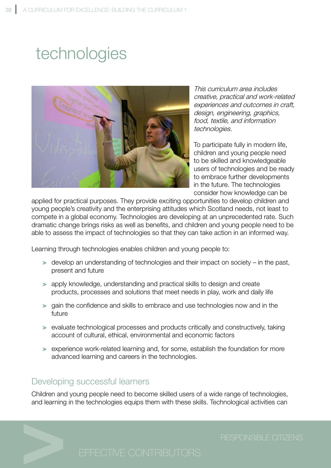# technologies



This curriculum area includes creative, practical and work-related experiences and outcomes in craft, design, engineering, graphics, food, textile, and information technologies.

To participate fully in modern life, children and young people need to be skilled and knowledgeable users of technologies and be ready to embrace further developments in the future. The technologies consider how knowledge can be

applied for practical purposes. They provide exciting opportunities to develop children and young people's creativity and the enterprising attitudes which Scotland needs, not least to compete in a global economy. Technologies are developing at an unprecedented rate. Such dramatic change brings risks as well as benefits, and children and young people need to be able to assess the impact of technologies so that they can take action in an informed way.

Learning through technologies enables children and young people to:

- > develop an understanding of technologies and their impact on society in the past, present and future
- > apply knowledge, understanding and practical skills to design and create products, processes and solutions that meet needs in play, work and daily life
- > gain the confidence and skills to embrace and use technologies now and in the future
- > evaluate technological processes and products critically and constructively, taking account of cultural, ethical, environmental and economic factors
- > experience work-related learning and, for some, establish the foundation for more advanced learning and careers in the technologies.

## Developing successful learners

Children and young people need to become skilled users of a wide range of technologies, and learning in the technologies equips them with these skills. Technological activities can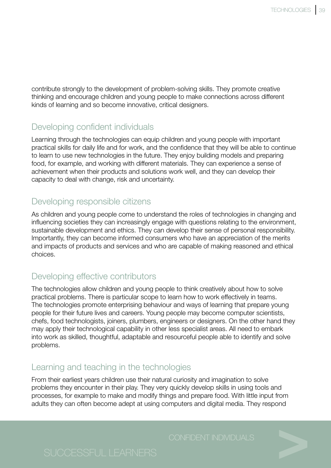contribute strongly to the development of problem-solving skills. They promote creative thinking and encourage children and young people to make connections across different kinds of learning and so become innovative, critical designers.

# Developing confident individuals

Learning through the technologies can equip children and young people with important practical skills for daily life and for work, and the confidence that they will be able to continue to learn to use new technologies in the future. They enjoy building models and preparing food, for example, and working with different materials. They can experience a sense of achievement when their products and solutions work well, and they can develop their capacity to deal with change, risk and uncertainty.

# Developing responsible citizens

As children and young people come to understand the roles of technologies in changing and influencing societies they can increasingly engage with questions relating to the environment, sustainable development and ethics. They can develop their sense of personal responsibility. Importantly, they can become informed consumers who have an appreciation of the merits and impacts of products and services and who are capable of making reasoned and ethical choices.

# Developing effective contributors

The technologies allow children and young people to think creatively about how to solve practical problems. There is particular scope to learn how to work effectively in teams. The technologies promote enterprising behaviour and ways of learning that prepare young people for their future lives and careers. Young people may become computer scientists, chefs, food technologists, joiners, plumbers, engineers or designers. On the other hand they may apply their technological capability in other less specialist areas. All need to embark into work as skilled, thoughtful, adaptable and resourceful people able to identify and solve problems.

# Learning and teaching in the technologies

From their earliest years children use their natural curiosity and imagination to solve problems they encounter in their play. They very quickly develop skills in using tools and processes, for example to make and modify things and prepare food. With little input from adults they can often become adept at using computers and digital media. They respond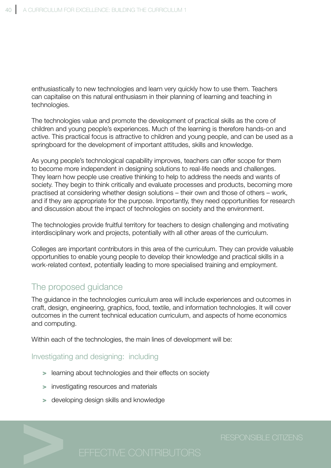enthusiastically to new technologies and learn very quickly how to use them. Teachers can capitalise on this natural enthusiasm in their planning of learning and teaching in technologies.

The technologies value and promote the development of practical skills as the core of children and young people's experiences. Much of the learning is therefore hands-on and active. This practical focus is attractive to children and young people, and can be used as a springboard for the development of important attitudes, skills and knowledge.

As young people's technological capability improves, teachers can offer scope for them to become more independent in designing solutions to real-life needs and challenges. They learn how people use creative thinking to help to address the needs and wants of society. They begin to think critically and evaluate processes and products, becoming more practised at considering whether design solutions – their own and those of others – work, and if they are appropriate for the purpose. Importantly, they need opportunities for research and discussion about the impact of technologies on society and the environment.

The technologies provide fruitful territory for teachers to design challenging and motivating interdisciplinary work and projects, potentially with all other areas of the curriculum.

Colleges are important contributors in this area of the curriculum. They can provide valuable opportunities to enable young people to develop their knowledge and practical skills in a work-related context, potentially leading to more specialised training and employment.

# The proposed guidance

The guidance in the technologies curriculum area will include experiences and outcomes in craft, design, engineering, graphics, food, textile, and information technologies. It will cover outcomes in the current technical education curriculum, and aspects of home economics and computing.

Within each of the technologies, the main lines of development will be:

### Investigating and designing: including

- > learning about technologies and their effects on society
- > investigating resources and materials
- > developing design skills and knowledge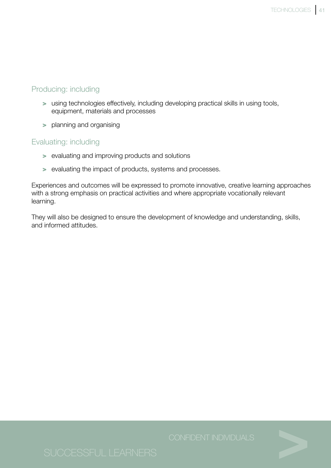### Producing: including

- > using technologies effectively, including developing practical skills in using tools, equipment, materials and processes
- > planning and organising

### Evaluating: including

- > evaluating and improving products and solutions
- > evaluating the impact of products, systems and processes.

Experiences and outcomes will be expressed to promote innovative, creative learning approaches with a strong emphasis on practical activities and where appropriate vocationally relevant learning.

They will also be designed to ensure the development of knowledge and understanding, skills, and informed attitudes.